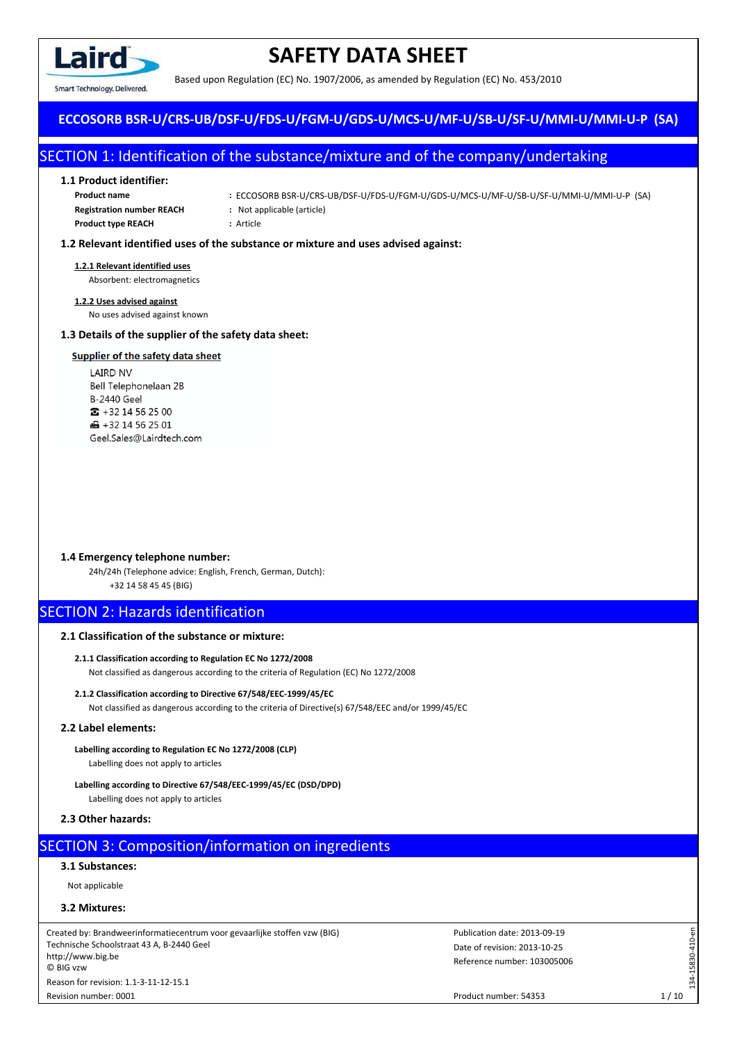

Smart Technology, Delivered.

# **SAFETY DATA SHEET**

Based upon Regulation (EC) No. 1907/2006, as amended by Regulation (EC) No. 453/2010

## **ECCOSORB BSR-U/CRS-UB/DSF-U/FDS-U/FGM-U/GDS-U/MCS-U/MF-U/SB-U/SF-U/MMI-U/MMI-U-P (SA)**

# SECTION 1: Identification of the substance/mixture and of the company/undertaking

## **1.1 Product identifier:**

| Product name                     |
|----------------------------------|
| <b>Registration number REACH</b> |
| <b>Product type REACH</b>        |

- **Product name :** ECCOSORB BSR-U/CRS-UB/DSF-U/FDS-U/FGM-U/GDS-U/MCS-U/MF-U/SB-U/SF-U/MMI-U/MMI-U-P (SA)
- **Registration number REACH :** Not applicable (article)

**Product type REACH :** Article

## **1.2 Relevant identified uses of the substance or mixture and uses advised against:**

## **1.2.1 Relevant identified uses**

Absorbent: electromagnetics

## **1.2.2 Uses advised against**

No uses advised against known

## **1.3 Details of the supplier of the safety data sheet:**

## **Supplier of the safety data sheet**

 $E$ ming ming ming  $\overline{E}$ bell Telephonelaan <sub>2</sub> B-2440 Geel  $\bullet$  +32 14 56 25 00  $\bigoplus$  +32 14 56 25 01 Geel.Sales@Lairdtech.com

## **1.4 Emergency telephone number:**

24h/24h (Telephone advice: English, French, German, Dutch): +32 14 58 45 45 (BIG)

## SECTION 2: Hazards identification

## **2.1 Classification of the substance or mixture:**

- **2.1.1 Classification according to Regulation EC No 1272/2008** Not classified as dangerous according to the criteria of Regulation (EC) No 1272/2008
- **2.1.2 Classification according to Directive 67/548/EEC-1999/45/EC** Not classified as dangerous according to the criteria of Directive(s) 67/548/EEC and/or 1999/45/EC

## **2.2 Label elements:**

- **Labelling according to Regulation EC No 1272/2008 (CLP)** Labelling does not apply to articles
- **Labelling according to Directive 67/548/EEC-1999/45/EC (DSD/DPD)** Labelling does not apply to articles

## **2.3 Other hazards:**

# **SECTION 3: Composition/information on ingredients**

**3.1 Substances:**

Not applicable

## **3.2 Mixtures:**

Revision number: 0001

Created by: Brandweerinformatiecentrum voor gevaarlijke stoffen vzw (BIG) Technische Schoolstraat 43 A, B-2440 Geel http://www.big.be © BIG vzw Reason for revision: 1.1-3-11-12-15.1

Date of revision: 2013-10-25 Publication date: 2013-09-19 Reference number: 103005006 134-15830-410-en

134-15830-410-en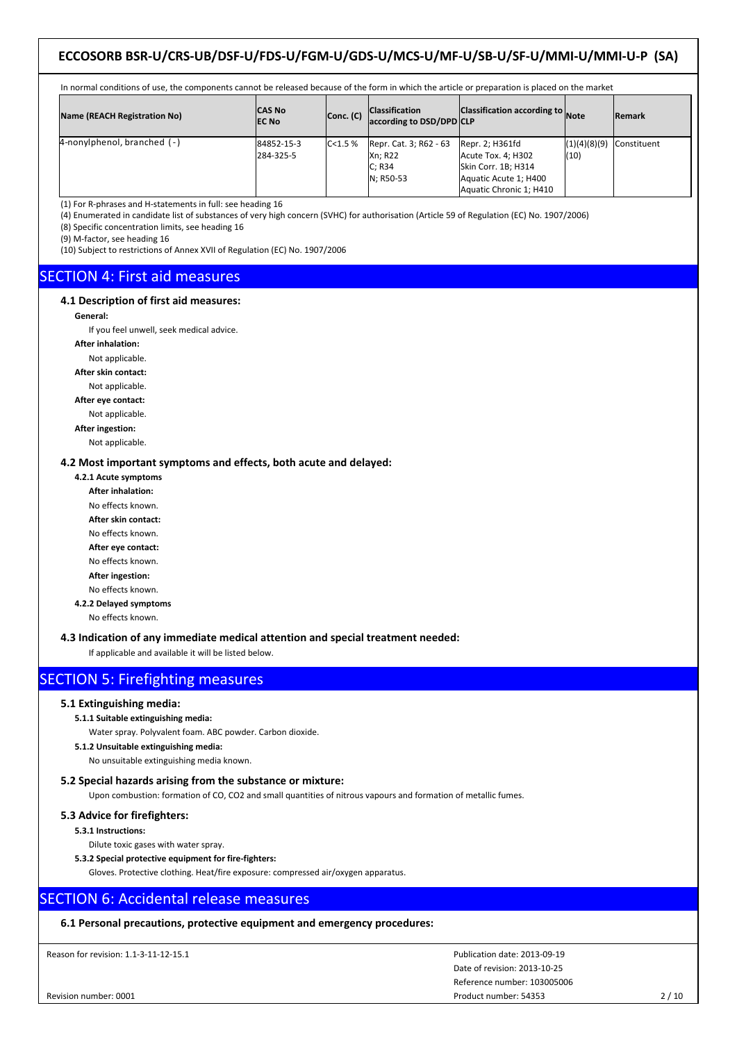| In normal conditions of use, the components cannot be released because of the form in which the article or preparation is placed on the market |                         |           |                                                                 |                                                                                                                  |                      |                    |  |
|------------------------------------------------------------------------------------------------------------------------------------------------|-------------------------|-----------|-----------------------------------------------------------------|------------------------------------------------------------------------------------------------------------------|----------------------|--------------------|--|
| Name (REACH Registration No)                                                                                                                   | ICAS No<br><b>EC No</b> | Conc. (C) | <b>Classification</b><br>according to DSD/DPD CLP               | Classification according to Note                                                                                 |                      | <b>Remark</b>      |  |
| $\beta$ -nonylphenol, branched (-)                                                                                                             | 84852-15-3<br>284-325-5 | C < 1.5%  | Repr. Cat. 3; R62 - 63<br><b>Xn: R22</b><br>C; R34<br>N: R50-53 | Repr. 2; H361fd<br>Acute Tox. 4; H302<br>Skin Corr. 1B; H314<br>Aquatic Acute 1; H400<br>Aquatic Chronic 1; H410 | (1)(4)(8)(9)<br>(10) | <b>Constituent</b> |  |

(1) For R-phrases and H-statements in full: see heading 16

(4) Enumerated in candidate list of substances of very high concern (SVHC) for authorisation (Article 59 of Regulation (EC) No. 1907/2006)

(8) Specific concentration limits, see heading 16

(9) M-factor, see heading 16

(10) Subject to restrictions of Annex XVII of Regulation (EC) No. 1907/2006

## SECTION 4: First aid measures

## **4.1 Description of first aid measures:**

#### **General:**

If you feel unwell, seek medical advice.

**After inhalation:**

Not applicable.

**After skin contact:**

Not applicable. **After eye contact:**

Not applicable.

**After ingestion:**

Not applicable.

**4.2 Most important symptoms and effects, both acute and delayed:**

**4.2.1 Acute symptoms**

- **After inhalation:**
- No effects known.
- **After skin contact:**

No effects known.

**After eye contact:**

No effects known.

**After ingestion:**

No effects known. **4.2.2 Delayed symptoms**

No effects known.

**4.3 Indication of any immediate medical attention and special treatment needed:**

If applicable and available it will be listed below.

# SECTION 5: Firefighting measures

## **5.1 Extinguishing media:**

#### **5.1.1 Suitable extinguishing media:**

Water spray. Polyvalent foam. ABC powder. Carbon dioxide.

**5.1.2 Unsuitable extinguishing media:**

No unsuitable extinguishing media known.

## **5.2 Special hazards arising from the substance or mixture:**

Upon combustion: formation of CO, CO2 and small quantities of nitrous vapours and formation of metallic fumes.

## **5.3 Advice for firefighters:**

**5.3.1 Instructions:**

Dilute toxic gases with water spray.

**5.3.2 Special protective equipment for fire-fighters:**

Gloves. Protective clothing. Heat/fire exposure: compressed air/oxygen apparatus.

## SECTION 6: Accidental release measures

## **6.1 Personal precautions, protective equipment and emergency procedures:**

Reason for revision: 1.1-3-11-12-15.1

Date of revision: 2013-10-25 Publication date: 2013-09-19 Reference number: 103005006 Product number: 54353 2/10

Revision number: 0001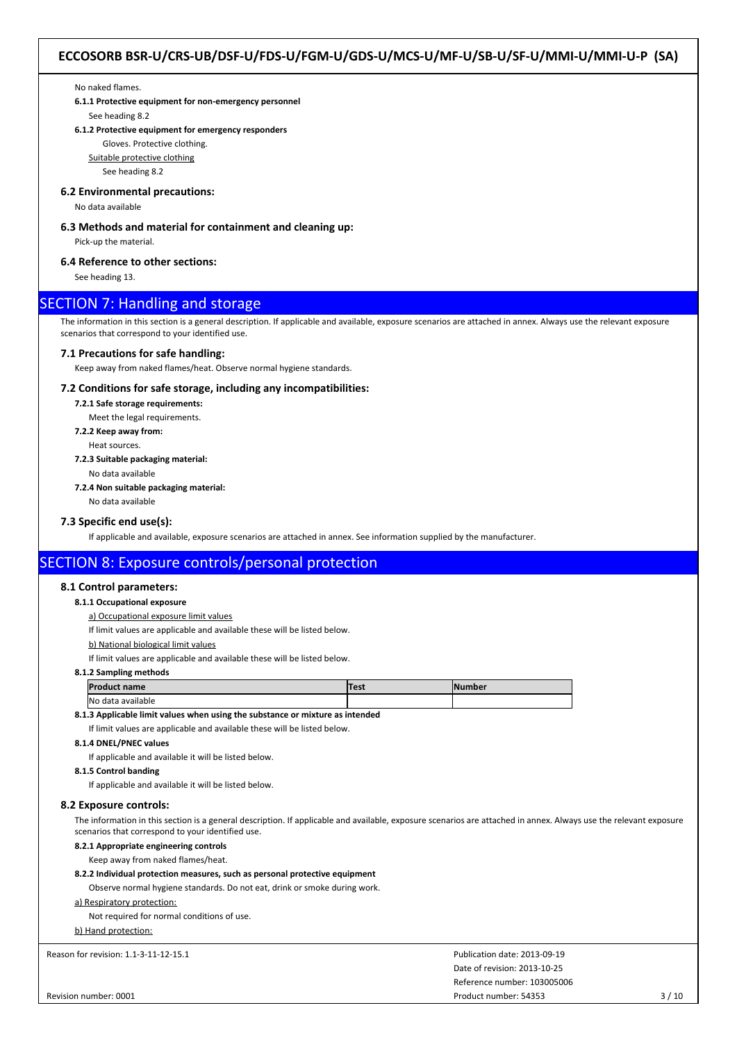No naked flames.

**6.1.1 Protective equipment for non-emergency personnel**

See heading 8.2

## **6.1.2 Protective equipment for emergency responders**

Gloves. Protective clothing.

Suitable protective clothing

See heading 8.2

## **6.2 Environmental precautions:**

No data available

## **6.3 Methods and material for containment and cleaning up:**

Pick-up the material.

## **6.4 Reference to other sections:**

See heading 13.

## SECTION 7: Handling and storage

The information in this section is a general description. If applicable and available, exposure scenarios are attached in annex. Always use the relevant exposure scenarios that correspond to your identified use.

#### **7.1 Precautions for safe handling:**

Keep away from naked flames/heat. Observe normal hygiene standards.

## **7.2 Conditions for safe storage, including any incompatibilities:**

**7.2.1 Safe storage requirements:**

Meet the legal requirements.

- **7.2.2 Keep away from:**
	- Heat sources.

**7.2.3 Suitable packaging material:**

No data available

**7.2.4 Non suitable packaging material:**

No data available

## **7.3 Specific end use(s):**

If applicable and available, exposure scenarios are attached in annex. See information supplied by the manufacturer.

## SECTION 8: Exposure controls/personal protection

## **8.1 Control parameters:**

## **8.1.1 Occupational exposure**

a) Occupational exposure limit values

If limit values are applicable and available these will be listed below.

b) National biological limit values

If limit values are applicable and available these will be listed below.

#### **8.1.2 Sampling methods**

| <b>IP</b> r<br>t name          | Test | <b><i><u>PERMIT COMPTER</u></i></b> |
|--------------------------------|------|-------------------------------------|
| <b>INo</b><br>` data available |      |                                     |

**8.1.3 Applicable limit values when using the substance or mixture as intended**

If limit values are applicable and available these will be listed below.

## **8.1.4 DNEL/PNEC values**

If applicable and available it will be listed below.

**8.1.5 Control banding**

If applicable and available it will be listed below.

#### **8.2 Exposure controls:**

The information in this section is a general description. If applicable and available, exposure scenarios are attached in annex. Always use the relevant exposure scenarios that correspond to your identified use.

## **8.2.1 Appropriate engineering controls**

Keep away from naked flames/heat.

#### **8.2.2 Individual protection measures, such as personal protective equipment**

Observe normal hygiene standards. Do not eat, drink or smoke during work.

### a) Respiratory protection:

Not required for normal conditions of use.

#### b) Hand protection: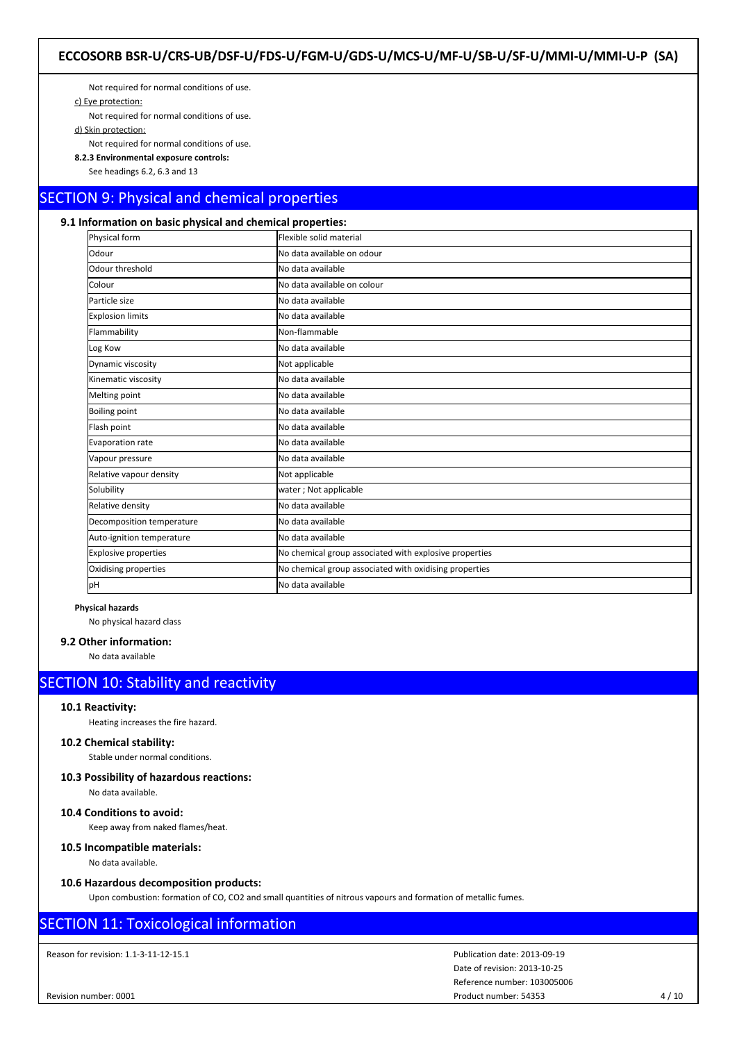Not required for normal conditions of use.

c) Eye protection:

Not required for normal conditions of use.

d) Skin protection:

Not required for normal conditions of use.

**8.2.3 Environmental exposure controls:**

See headings 6.2, 6.3 and 13

# SECTION 9: Physical and chemical properties

## **9.1 Information on basic physical and chemical properties:**

| Physical form               | Flexible solid material                                |
|-----------------------------|--------------------------------------------------------|
| Odour                       | No data available on odour                             |
| Odour threshold             | lNo data available                                     |
| Colour                      | No data available on colour                            |
| Particle size               | No data available                                      |
| <b>Explosion limits</b>     | No data available                                      |
| Flammability                | Non-flammable                                          |
| Log Kow                     | No data available                                      |
| Dynamic viscosity           | Not applicable                                         |
| Kinematic viscosity         | No data available                                      |
| Melting point               | No data available                                      |
| <b>Boiling point</b>        | No data available                                      |
| Flash point                 | No data available                                      |
| Evaporation rate            | No data available                                      |
| Vapour pressure             | No data available                                      |
| Relative vapour density     | Not applicable                                         |
| Solubility                  | water; Not applicable                                  |
| Relative density            | No data available                                      |
| Decomposition temperature   | No data available                                      |
| Auto-ignition temperature   | No data available                                      |
| <b>Explosive properties</b> | No chemical group associated with explosive properties |
| Oxidising properties        | No chemical group associated with oxidising properties |
| lрН                         | No data available                                      |

#### **Physical hazards**

No physical hazard class

## **9.2 Other information:**

No data available

# SECTION 10: Stability and reactivity

#### **10.1 Reactivity:**

Heating increases the fire hazard.

## **10.2 Chemical stability:**

Stable under normal conditions.

## **10.3 Possibility of hazardous reactions:**

No data available.

## **10.4 Conditions to avoid:**

Keep away from naked flames/heat.

## **10.5 Incompatible materials:**

No data available.

## **10.6 Hazardous decomposition products:**

Upon combustion: formation of CO, CO2 and small quantities of nitrous vapours and formation of metallic fumes.

# SECTION 11: Toxicological information

Reason for revision: 1.1-3-11-12-15.1

Revision number: 0001

Date of revision: 2013-10-25 Publication date: 2013-09-19 Reference number: 103005006 Product number: 54353 4 / 10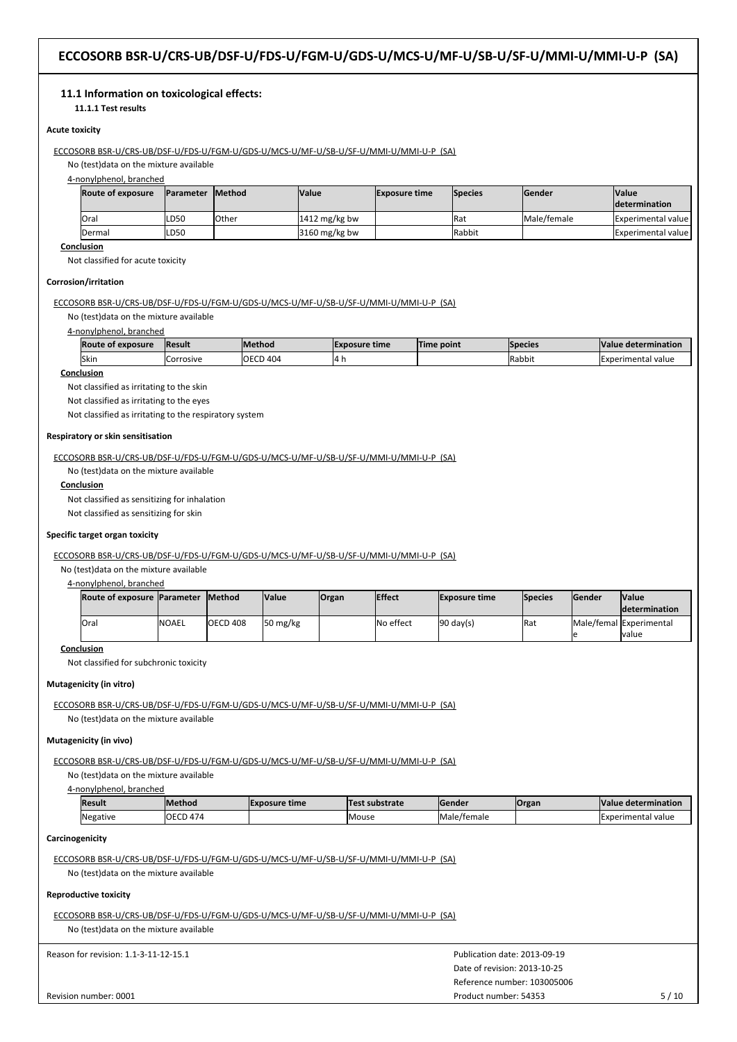## **11.1 Information on toxicological effects:**

**11.1.1 Test results**

## **Acute toxicity**

## ECCOSORB BSR-U/CRS-UB/DSF-U/FDS-U/FGM-U/GDS-U/MCS-U/MF-U/SB-U/SF-U/MMI-U/MMI-U-P (SA)

No (test)data on the mixture available

4-nonylphenol, branched

| <b>Route of exposure</b> | <b>IParameter Method</b> |              | <b>Value</b>    | <b>Exposure time</b> | <b>Species</b> | lGender     | <b>Value</b><br><b>Idetermination</b> |
|--------------------------|--------------------------|--------------|-----------------|----------------------|----------------|-------------|---------------------------------------|
| lOral                    | LD50                     | <b>Other</b> | $1412$ mg/kg bw |                      | <b>I</b> Rat   | Male/female | <b>IExperimental value I</b>          |
| <b>IDermal</b>           | LD50                     |              | $3160$ mg/kg bw |                      | <b>Rabbit</b>  |             | <b>IExperimental value l</b>          |

**Conclusion**

Not classified for acute toxicity

## **Corrosion/irritation**

ECCOSORB BSR-U/CRS-UB/DSF-U/FDS-U/FGM-U/GDS-U/MCS-U/MF-U/SB-U/SF-U/MMI-U/MMI-U-P (SA)

No (test)data on the mixture available

#### 4-nonylphenol, branched

| <b>Route of exposure</b> | <b>IResult</b> | <b>IMethod</b>  | <b>IExposure time</b> | Time point | <b>Species</b> | <b>Nalue determination</b> |
|--------------------------|----------------|-----------------|-----------------------|------------|----------------|----------------------------|
| <b>Skin</b>              | lCorrosive     | <b>OECD 404</b> | 14 h                  |            | <b>IRabbit</b> | Experimental value         |

## **Conclusion**

Not classified as irritating to the skin

Not classified as irritating to the eyes

Not classified as irritating to the respiratory system

#### **Respiratory or skin sensitisation**

ECCOSORB BSR-U/CRS-UB/DSF-U/FDS-U/FGM-U/GDS-U/MCS-U/MF-U/SB-U/SF-U/MMI-U/MMI-U-P (SA)

No (test)data on the mixture available

**Conclusion**

Not classified as sensitizing for inhalation

Not classified as sensitizing for skin

## **Specific target organ toxicity**

ECCOSORB BSR-U/CRS-UB/DSF-U/FDS-U/FGM-U/GDS-U/MCS-U/MF-U/SB-U/SF-U/MMI-U/MMI-U-P (SA)

No (test)data on the mixture available

## 4-nonylphenol, branched

| Route of exposure  Parameter |              | <b>IMethod</b> | <b>Value</b> | Organ | <b>IEffect</b> | <b>Exposure time</b> | <b>Species</b> | <b>Sender</b> | <b>Value</b><br><b>Idetermination</b>           |
|------------------------------|--------------|----------------|--------------|-------|----------------|----------------------|----------------|---------------|-------------------------------------------------|
| lOral                        | <b>NOAEL</b> | OECD 408       | 50 mg/ $kg$  |       | No effect      | $90 \text{ day(s)}$  | Rat            |               | <b>Male/femal Experimental</b><br><b>Ivalue</b> |

#### **Conclusion**

Not classified for subchronic toxicity

## **Mutagenicity (in vitro)**

ECCOSORB BSR-U/CRS-UB/DSF-U/FDS-U/FGM-U/GDS-U/MCS-U/MF-U/SB-U/SF-U/MMI-U/MMI-U-P (SA) No (test)data on the mixture available

#### **Mutagenicity (in vivo)**

ECCOSORB BSR-U/CRS-UB/DSF-U/FDS-U/FGM-U/GDS-U/MCS-U/MF-U/SB-U/SF-U/MMI-U/MMI-U-P (SA)

No (test)data on the mixture available

4-nonylphenol, branched

| Result   | <b>IMethod</b>   | IExposure time | Test substrate | lGender                                 | <b>Organ</b> | Value determination |
|----------|------------------|----------------|----------------|-----------------------------------------|--------------|---------------------|
| Negative | <b>IOECD 474</b> |                | Mouse          | $\overline{\phantom{a}}$<br>Male/female |              | Experimental value  |

#### **Carcinogenicity**

ECCOSORB BSR-U/CRS-UB/DSF-U/FDS-U/FGM-U/GDS-U/MCS-U/MF-U/SB-U/SF-U/MMI-U/MMI-U-P (SA) No (test)data on the mixture available

#### **Reproductive toxicity**

ECCOSORB BSR-U/CRS-UB/DSF-U/FDS-U/FGM-U/GDS-U/MCS-U/MF-U/SB-U/SF-U/MMI-U/MMI-U-P (SA) No (test)data on the mixture available

| Revision number: 0001                 | Product number: 54353        | 5/10 |
|---------------------------------------|------------------------------|------|
|                                       | Reference number: 103005006  |      |
|                                       | Date of revision: 2013-10-25 |      |
| Reason for revision: 1.1-3-11-12-15.1 | Publication date: 2013-09-19 |      |
|                                       |                              |      |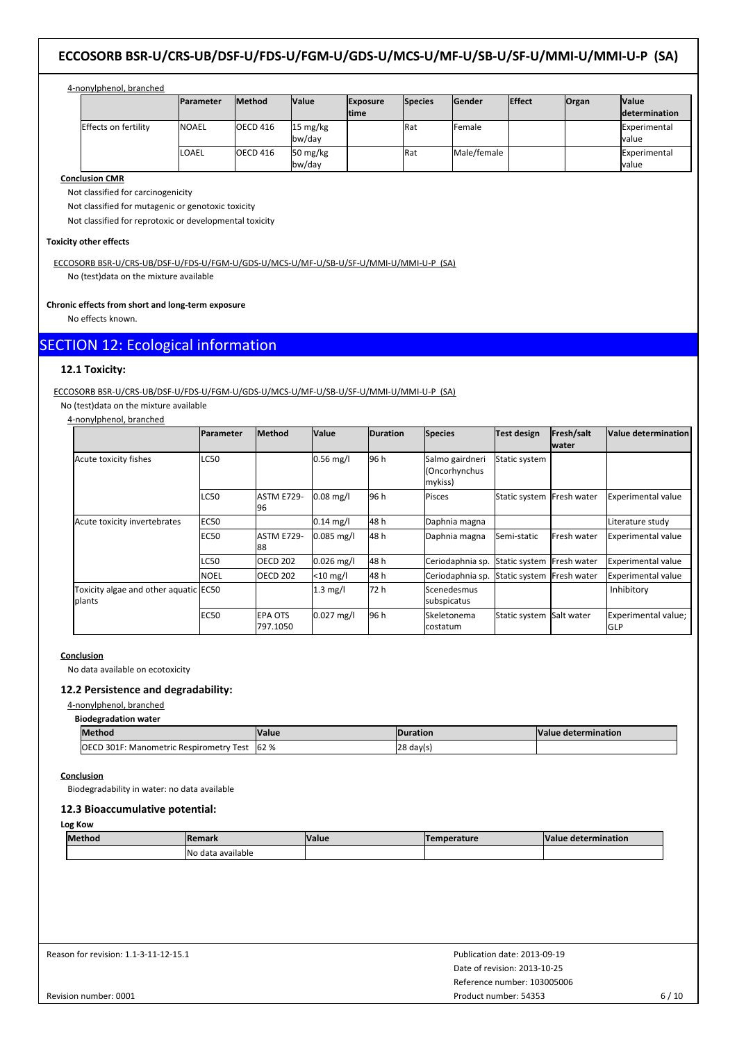## 4-nonylphenol, branched

|                      | <b>Parameter</b> | <b>Method</b>    | <b>Value</b>                               | <b>Exposure</b><br><b>Itime</b> | <b>Species</b> | <b>Sender</b> | <b>Effect</b> | <b>Organ</b> | <b>Value</b><br><b>determination</b> |
|----------------------|------------------|------------------|--------------------------------------------|---------------------------------|----------------|---------------|---------------|--------------|--------------------------------------|
| Effects on fertility | <b>INOAEL</b>    | <b>IOECD 416</b> | $15 \text{ mg/kg}$<br>lbw/dav              |                                 | <b>IRat</b>    | lFemale       |               |              | Experimental<br>lvalue               |
|                      | LOAEL            | <b>IOECD 416</b> | $50 \frac{\text{mg}}{\text{kg}}$<br>bw/day |                                 | <b>IRat</b>    | Male/female   |               |              | Experimental<br>Ivalue               |

## **Conclusion CMR**

Not classified for carcinogenicity

Not classified for mutagenic or genotoxic toxicity

Not classified for reprotoxic or developmental toxicity

## **Toxicity other effects**

ECCOSORB BSR-U/CRS-UB/DSF-U/FDS-U/FGM-U/GDS-U/MCS-U/MF-U/SB-U/SF-U/MMI-U/MMI-U-P (SA) No (test)data on the mixture available

## **Chronic effects from short and long-term exposure**

No effects known.

## SECTION 12: Ecological information

## **12.1 Toxicity:**

ECCOSORB BSR-U/CRS-UB/DSF-U/FDS-U/FGM-U/GDS-U/MCS-U/MF-U/SB-U/SF-U/MMI-U/MMI-U-P (SA)

No (test)data on the mixture available

| 4-nonylphenol, branched                         |                  |                            |                     |                 |                                             |                           |                            |                                   |
|-------------------------------------------------|------------------|----------------------------|---------------------|-----------------|---------------------------------------------|---------------------------|----------------------------|-----------------------------------|
|                                                 | <b>Parameter</b> | <b>Method</b>              | <b>Value</b>        | <b>Duration</b> | <b>Species</b>                              | <b>Test design</b>        | Fresh/salt<br><b>water</b> | Value determination               |
| Acute toxicity fishes                           | <b>LC50</b>      |                            | $0.56$ mg/l         | 96 h            | Salmo gairdneri<br>(Oncorhynchus<br>mykiss) | Static system             |                            |                                   |
|                                                 | <b>LC50</b>      | <b>ASTM E729-</b><br>96    | $0.08$ mg/l         | 96 h            | Pisces                                      | Static system Fresh water |                            | <b>Experimental value</b>         |
| Acute toxicity invertebrates                    | <b>EC50</b>      |                            | $0.14 \text{ mg/l}$ | 48 h            | Daphnia magna                               |                           |                            | Literature study                  |
|                                                 | <b>EC50</b>      | <b>ASTM E729-</b><br>88    | $0.085$ mg/l        | 48 h            | Daphnia magna                               | Semi-static               | <b>IFresh water</b>        | <b>Experimental value</b>         |
|                                                 | <b>LC50</b>      | <b>OECD 202</b>            | $0.026$ mg/l        | 48 h            | Ceriodaphnia sp.                            | Static system Fresh water |                            | <b>Experimental value</b>         |
|                                                 | <b>NOEL</b>      | <b>OECD 202</b>            | $<$ 10 mg/l         | 48 h            | Ceriodaphnia sp.                            | Static system Fresh water |                            | <b>Experimental value</b>         |
| Toxicity algae and other aquatic EC50<br>plants |                  |                            | $1.3 \text{ mg/l}$  | 72 h            | Scenedesmus<br>subspicatus                  |                           |                            | Inhibitory                        |
|                                                 | <b>EC50</b>      | <b>EPA OTS</b><br>797.1050 | $0.027$ mg/l        | 96 h            | Skeletonema<br>costatum                     | Static system             | Salt water                 | Experimental value;<br><b>GLP</b> |

## **Conclusion**

No data available on ecotoxicity

## **12.2 Persistence and degradability:**

## 4-nonylphenol, branched

**Biodegradation water**

| <b>Methoo</b>                                    | <b>Value</b> | <b>IDuration</b>      | Value determination |
|--------------------------------------------------|--------------|-----------------------|---------------------|
| IOECD 301F:<br>: Manometric Respirometry<br>Test | 62 %         | $ 28 \text{ day}(s) $ |                     |

## **Conclusion**

Biodegradability in water: no data available

## **12.3 Bioaccumulative potential:**

## **Log Kow**

| <b>Method</b> | mark<br>              | <b>Value</b> | perature | <b>Value</b><br>: determination |
|---------------|-----------------------|--------------|----------|---------------------------------|
|               | lNo<br>data available |              |          |                                 |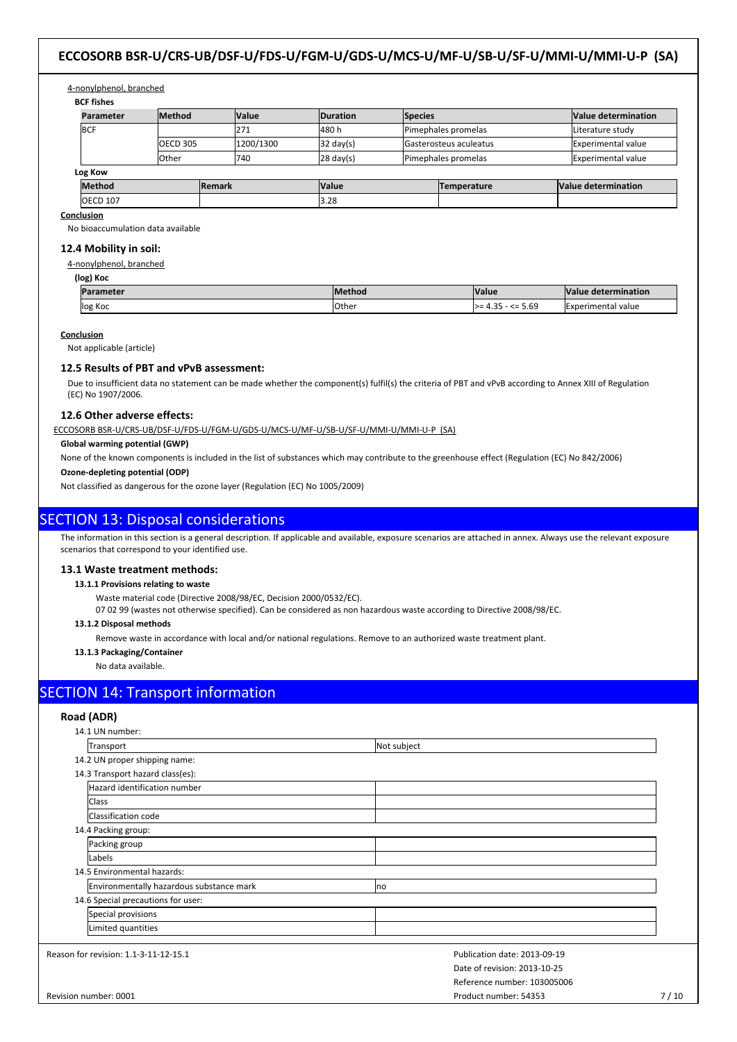## 4-nonylphenol, branched

**BCF fishes**

| Parameter       | <b>Method</b> |               | <b>Value</b> | <b>Duration</b>     | <b>Species</b> |                               |  | Value determination |
|-----------------|---------------|---------------|--------------|---------------------|----------------|-------------------------------|--|---------------------|
| <b>IBCF</b>     |               |               | 1271         | 480h                |                | Pimephales promelas           |  | Literature study    |
|                 | OECD 305      |               | 1200/1300    | $32 \text{ day(s)}$ |                | <b>Gasterosteus aculeatus</b> |  | Experimental value  |
|                 | lOther        |               | 1740         | $28 \text{ day(s)}$ |                | Pimephales promelas           |  | Experimental value  |
| Log Kow         |               |               |              |                     |                |                               |  |                     |
| <b>Method</b>   |               | <b>Remark</b> |              | Value               |                | Temperature                   |  | Value determination |
| <b>OECD 107</b> |               |               |              | 3.28                |                |                               |  |                     |

**Conclusion**

No bioaccumulation data available

## **12.4 Mobility in soil:**

4-nonylphenol, branched

| (log) Koc        |                |                      |                            |  |  |
|------------------|----------------|----------------------|----------------------------|--|--|
| <b>Parameter</b> | <b>IMethod</b> | <b>Value</b>         | <b>Nalue determination</b> |  |  |
| log Koc          | <b>l</b> Other | $\ge$ 4.35 - <= 5.69 | <b>IExperimental value</b> |  |  |

#### **Conclusion**

Not applicable (article)

#### **12.5 Results of PBT and vPvB assessment:**

Due to insufficient data no statement can be made whether the component(s) fulfil(s) the criteria of PBT and vPvB according to Annex XIII of Regulation (EC) No 1907/2006.

## **12.6 Other adverse effects:**

ECCOSORB BSR-U/CRS-UB/DSF-U/FDS-U/FGM-U/GDS-U/MCS-U/MF-U/SB-U/SF-U/MMI-U/MMI-U-P (SA)

## **Global warming potential (GWP)**

None of the known components is included in the list of substances which may contribute to the greenhouse effect (Regulation (EC) No 842/2006)

**Ozone-depleting potential (ODP)**

Not classified as dangerous for the ozone layer (Regulation (EC) No 1005/2009)

## SECTION 13: Disposal considerations

The information in this section is a general description. If applicable and available, exposure scenarios are attached in annex. Always use the relevant exposure scenarios that correspond to your identified use.

#### **13.1 Waste treatment methods:**

**13.1.1 Provisions relating to waste**

Waste material code (Directive 2008/98/EC, Decision 2000/0532/EC).

07 02 99 (wastes not otherwise specified). Can be considered as non hazardous waste according to Directive 2008/98/EC.

#### **13.1.2 Disposal methods**

Remove waste in accordance with local and/or national regulations. Remove to an authorized waste treatment plant.

**13.1.3 Packaging/Container**

No data available.

## SECTION 14: Transport information

#### **Road (ADR)**

| 14.1 UN number:                          |                              |        |
|------------------------------------------|------------------------------|--------|
| Transport                                | Not subject                  |        |
| 14.2 UN proper shipping name:            |                              |        |
| 14.3 Transport hazard class(es):         |                              |        |
| Hazard identification number             |                              |        |
| Class                                    |                              |        |
| Classification code                      |                              |        |
| 14.4 Packing group:                      |                              |        |
| Packing group                            |                              |        |
| Labels                                   |                              |        |
| 14.5 Environmental hazards:              |                              |        |
| Environmentally hazardous substance mark | Ino                          |        |
| 14.6 Special precautions for user:       |                              |        |
| Special provisions                       |                              |        |
| Limited quantities                       |                              |        |
| Reason for revision: 1.1-3-11-12-15.1    | Publication date: 2013-09-19 |        |
|                                          | Date of revision: 2013-10-25 |        |
|                                          | Reference number: 103005006  |        |
| Revision number: 0001                    | Product number: 54353        | $7/10$ |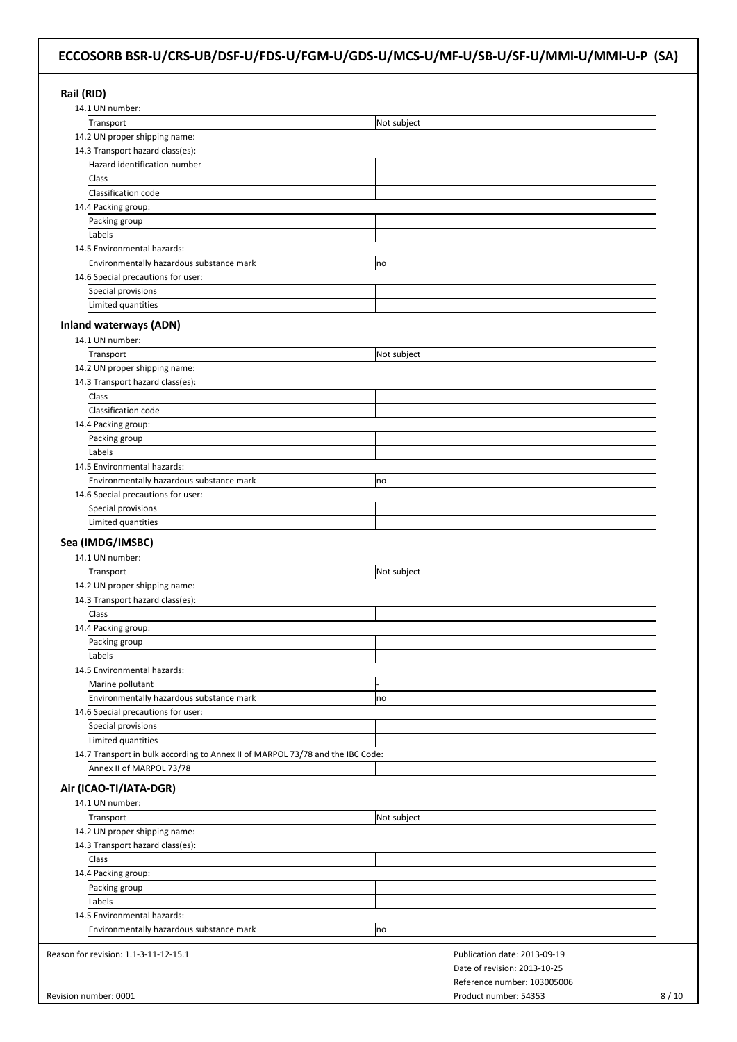| Rail (RID)<br>14.1 UN number:                                                  |                              |
|--------------------------------------------------------------------------------|------------------------------|
| Transport                                                                      | Not subject                  |
| 14.2 UN proper shipping name:                                                  |                              |
| 14.3 Transport hazard class(es):                                               |                              |
| Hazard identification number                                                   |                              |
|                                                                                |                              |
| Class                                                                          |                              |
| Classification code                                                            |                              |
| 14.4 Packing group:                                                            |                              |
| Packing group                                                                  |                              |
| Labels                                                                         |                              |
| 14.5 Environmental hazards:                                                    |                              |
| Environmentally hazardous substance mark                                       | no                           |
| 14.6 Special precautions for user:                                             |                              |
| Special provisions                                                             |                              |
| Limited quantities                                                             |                              |
|                                                                                |                              |
| <b>Inland waterways (ADN)</b>                                                  |                              |
| 14.1 UN number:                                                                |                              |
| Transport                                                                      | Not subject                  |
| 14.2 UN proper shipping name:                                                  |                              |
| 14.3 Transport hazard class(es):                                               |                              |
| Class                                                                          |                              |
| Classification code                                                            |                              |
|                                                                                |                              |
| 14.4 Packing group:                                                            |                              |
| Packing group                                                                  |                              |
| Labels                                                                         |                              |
| 14.5 Environmental hazards:                                                    |                              |
| Environmentally hazardous substance mark                                       | no                           |
| 14.6 Special precautions for user:                                             |                              |
| Special provisions                                                             |                              |
| Limited quantities                                                             |                              |
|                                                                                |                              |
| Sea (IMDG/IMSBC)                                                               |                              |
| 14.1 UN number:                                                                |                              |
| Transport                                                                      | Not subject                  |
| 14.2 UN proper shipping name:                                                  |                              |
| 14.3 Transport hazard class(es):                                               |                              |
| <b>Class</b>                                                                   |                              |
| 14.4 Packing group:                                                            |                              |
| Packing group                                                                  |                              |
|                                                                                |                              |
| Labels                                                                         |                              |
| 14.5 Environmental hazards:                                                    |                              |
| Marine pollutant                                                               |                              |
| Environmentally hazardous substance mark                                       | no                           |
| 14.6 Special precautions for user:                                             |                              |
| Special provisions                                                             |                              |
| Limited quantities                                                             |                              |
| 14.7 Transport in bulk according to Annex II of MARPOL 73/78 and the IBC Code: |                              |
| Annex II of MARPOL 73/78                                                       |                              |
|                                                                                |                              |
| Air (ICAO-TI/IATA-DGR)                                                         |                              |
| 14.1 UN number:                                                                |                              |
| Transport                                                                      | Not subject                  |
| 14.2 UN proper shipping name:                                                  |                              |
| 14.3 Transport hazard class(es):                                               |                              |
| Class                                                                          |                              |
|                                                                                |                              |
| 14.4 Packing group:                                                            |                              |
| Packing group                                                                  |                              |
| Labels                                                                         |                              |
| 14.5 Environmental hazards:                                                    |                              |
| Environmentally hazardous substance mark                                       | no                           |
|                                                                                |                              |
| Reason for revision: 1.1-3-11-12-15.1                                          | Publication date: 2013-09-19 |
|                                                                                | Date of revision: 2013-10-25 |
|                                                                                | Reference number: 103005006  |
|                                                                                |                              |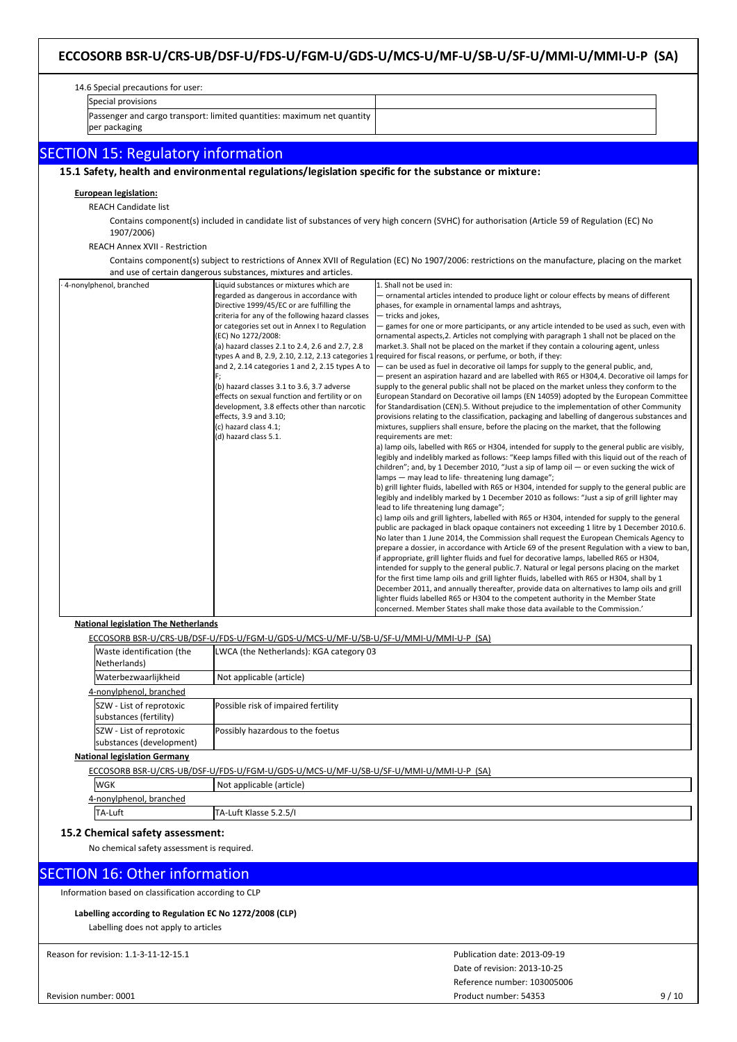#### 14.6 Special precautions for user: Special provisions Passenger and cargo transport: limited quantities: maximum net quantity per packaging SECTION 15: Regulatory information **15.1 Safety, health and environmental regulations/legislation specific for the substance or mixture: European legislation:** REACH Candidate list Contains component(s) included in candidate list of substances of very high concern (SVHC) for authorisation (Article 59 of Regulation (EC) No 1907/2006) REACH Annex XVII - Restriction Contains component(s) subject to restrictions of Annex XVII of Regulation (EC) No 1907/2006: restrictions on the manufacture, placing on the market and use of certain dangerous substances, mixtures and articles. · 4-nonylphenol, branched Liquid substances or mixtures which are regarded as dangerous in accordance with Directive 1999/45/EC or are fulfilling the criteria for any of the following hazard classes or categories set out in Annex I to Regulation (EC) No 1272/2008: (a) hazard classes 2.1 to 2.4, 2.6 and 2.7, 2.8 types A and B, 2.9, 2.10, 2.12, 2.13 categories 1 and 2, 2.14 categories 1 and 2, 2.15 types A to F; (b) hazard classes 3.1 to 3.6, 3.7 adverse effects on sexual function and fertility or on development, 3.8 effects other than narcotic effects, 3.9 and 3.10; (c) hazard class 4.1; (d) hazard class 5.1. 1. Shall not be used in: — ornamental articles intended to produce light or colour effects by means of different phases, for example in ornamental lamps and ashtrays, — tricks and jokes, — games for one or more participants, or any article intended to be used as such, even with ornamental aspects,2. Articles not complying with paragraph 1 shall not be placed on the market.3. Shall not be placed on the market if they contain a colouring agent, unless required for fiscal reasons, or perfume, or both, if they: — can be used as fuel in decorative oil lamps for supply to the general public, and, — present an aspiration hazard and are labelled with R65 or H304,4. Decorative oil lamps for supply to the general public shall not be placed on the market unless they conform to the European Standard on Decorative oil lamps (EN 14059) adopted by the European Committee for Standardisation (CEN).5. Without prejudice to the implementation of other Community provisions relating to the classification, packaging and labelling of dangerous substances and mixtures, suppliers shall ensure, before the placing on the market, that the following requirements are met: a) lamp oils, labelled with R65 or H304, intended for supply to the general public are visibly, legibly and indelibly marked as follows: "Keep lamps filled with this liquid out of the reach of children"; and, by 1 December 2010, "Just a sip of lamp oil — or even sucking the wick of lamps — may lead to life-threatening lung damage"; b) grill lighter fluids, labelled with R65 or H304, intended for supply to the general public are legibly and indelibly marked by 1 December 2010 as follows: "Just a sip of grill lighter may lead to life threatening lung damage"; c) lamp oils and grill lighters, labelled with R65 or H304, intended for supply to the general public are packaged in black opaque containers not exceeding 1 litre by 1 December 2010.6. No later than 1 June 2014, the Commission shall request the European Chemicals Agency to prepare a dossier, in accordance with Article 69 of the present Regulation with a view to ban if appropriate, grill lighter fluids and fuel for decorative lamps, labelled R65 or H304, intended for supply to the general public.7. Natural or legal persons placing on the market for the first time lamp oils and grill lighter fluids, labelled with R65 or H304, shall by 1 December 2011, and annually thereafter, provide data on alternatives to lamp oils and grill lighter fluids labelled R65 or H304 to the competent authority in the Member State concerned. Member States shall make those data available to the Commission.'

#### **National legislation The Netherlands**

|            |                                                                                       | ECCOSORB BSR-U/CRS-UB/DSF-U/FDS-U/FGM-U/GDS-U/MCS-U/MF-U/SB-U/SF-U/MMI-U/MMI-U-P (SA) |  |  |  |  |
|------------|---------------------------------------------------------------------------------------|---------------------------------------------------------------------------------------|--|--|--|--|
|            | Waste identification (the<br>Netherlands)                                             | LWCA (the Netherlands): KGA category 03                                               |  |  |  |  |
|            | Waterbezwaarlijkheid                                                                  | Not applicable (article)                                                              |  |  |  |  |
|            | 4-nonvlphenol, branched                                                               |                                                                                       |  |  |  |  |
|            | SZW - List of reprotoxic<br>substances (fertility)                                    | Possible risk of impaired fertility                                                   |  |  |  |  |
|            | SZW - List of reprotoxic<br>substances (development)                                  | Possibly hazardous to the foetus                                                      |  |  |  |  |
|            | <b>National legislation Germany</b>                                                   |                                                                                       |  |  |  |  |
|            | ECCOSORB BSR-U/CRS-UB/DSF-U/FDS-U/FGM-U/GDS-U/MCS-U/MF-U/SB-U/SF-U/MMI-U/MMI-U-P (SA) |                                                                                       |  |  |  |  |
| <b>WGK</b> |                                                                                       | Not applicable (article)                                                              |  |  |  |  |

# **15.2 Chemical safety assessment:**

4-nonylphenol, branched

No chemical safety assessment is required.

## SECTION 16: Other information

Information based on classification according to CLP

## **Labelling according to Regulation EC No 1272/2008 (CLP)**

TA-Luft TA-Luft Klasse 5.2.5/I

Labelling does not apply to articles